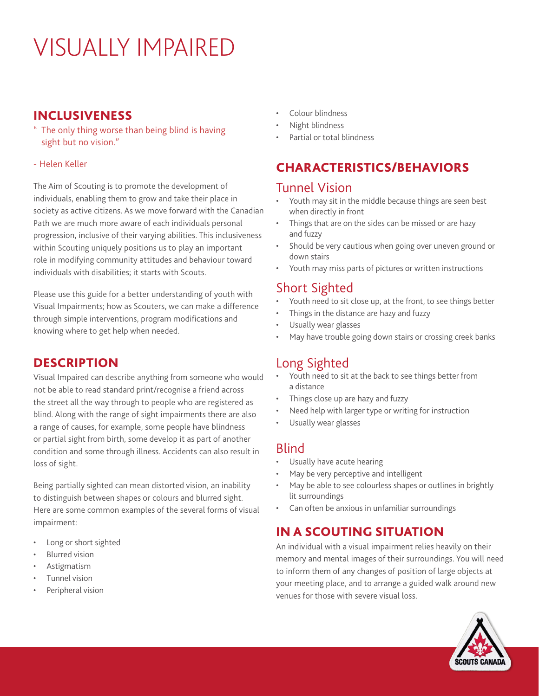# VISUALLY IMPAIRED

## INCLUSIVENESS

- " The only thing worse than being blind is having sight but no vision."
- Helen Keller

The Aim of Scouting is to promote the development of individuals, enabling them to grow and take their place in society as active citizens. As we move forward with the Canadian Path we are much more aware of each individuals personal progression, inclusive of their varying abilities. This inclusiveness within Scouting uniquely positions us to play an important role in modifying community attitudes and behaviour toward individuals with disabilities; it starts with Scouts.

Please use this guide for a better understanding of youth with Visual Impairments; how as Scouters, we can make a difference through simple interventions, program modifications and knowing where to get help when needed.

## **DESCRIPTION**

Visual Impaired can describe anything from someone who would not be able to read standard print/recognise a friend across the street all the way through to people who are registered as blind. Along with the range of sight impairments there are also a range of causes, for example, some people have blindness or partial sight from birth, some develop it as part of another condition and some through illness. Accidents can also result in loss of sight.

Being partially sighted can mean distorted vision, an inability to distinguish between shapes or colours and blurred sight. Here are some common examples of the several forms of visual impairment:

- Long or short sighted
- **Blurred vision**
- **Astigmatism**
- Tunnel vision
- Peripheral vision
- Colour blindness
- Night blindness
- Partial or total blindness

## CHARACTERISTICS/BEHAVIORS

### Tunnel Vision

- Youth may sit in the middle because things are seen best when directly in front
- Things that are on the sides can be missed or are hazy and fuzzy
- Should be very cautious when going over uneven ground or down stairs
- Youth may miss parts of pictures or written instructions

## Short Sighted

- Youth need to sit close up, at the front, to see things better
- Things in the distance are hazy and fuzzy
- Usually wear glasses
- May have trouble going down stairs or crossing creek banks

## Long Sighted

- Youth need to sit at the back to see things better from a distance
- Things close up are hazy and fuzzy
- Need help with larger type or writing for instruction
- Usually wear glasses

#### Blind

- Usually have acute hearing
- May be very perceptive and intelligent
- May be able to see colourless shapes or outlines in brightly lit surroundings
- Can often be anxious in unfamiliar surroundings

## IN A SCOUTING SITUATION

An individual with a visual impairment relies heavily on their memory and mental images of their surroundings. You will need to inform them of any changes of position of large objects at your meeting place, and to arrange a guided walk around new venues for those with severe visual loss.